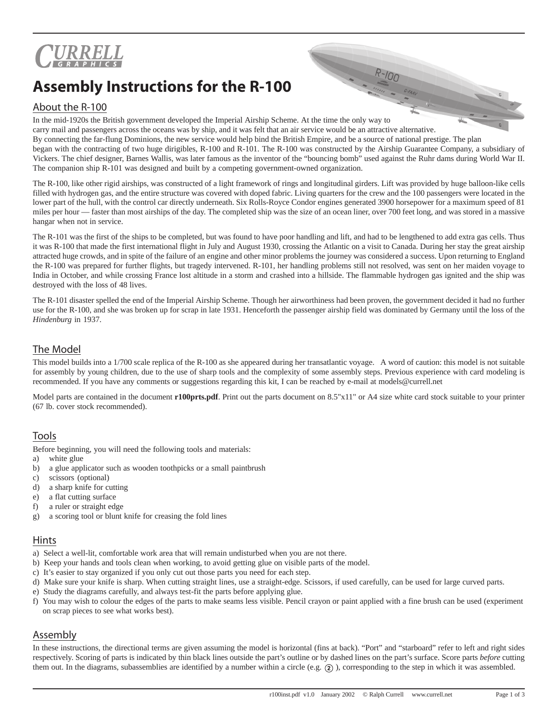

# **Assembly Instructions for the R-100**

## About the R-100

In the mid-1920s the British government developed the Imperial Airship Scheme. At the time the only way to carry mail and passengers across the oceans was by ship, and it was felt that an air service would be an attractive alternative. By connecting the far-flung Dominions, the new service would help bind the British Empire, and be a source of national prestige. The plan began with the contracting of two huge dirigibles, R-100 and R-101. The R-100 was constructed by the Airship Guarantee Company, a subsidiary of Vickers. The chief designer, Barnes Wallis, was later famous as the inventor of the "bouncing bomb" used against the Ruhr dams during World War II. The companion ship R-101 was designed and built by a competing government-owned organization.

The R-100, like other rigid airships, was constructed of a light framework of rings and longitudinal girders. Lift was provided by huge balloon-like cells filled with hydrogen gas, and the entire structure was covered with doped fabric. Living quarters for the crew and the 100 passengers were located in the lower part of the hull, with the control car directly underneath. Six Rolls-Royce Condor engines generated 3900 horsepower for a maximum speed of 81 miles per hour — faster than most airships of the day. The completed ship was the size of an ocean liner, over 700 feet long, and was stored in a massive hangar when not in service.

The R-101 was the first of the ships to be completed, but was found to have poor handling and lift, and had to be lengthened to add extra gas cells. Thus it was R-100 that made the first international flight in July and August 1930, crossing the Atlantic on a visit to Canada. During her stay the great airship attracted huge crowds, and in spite of the failure of an engine and other minor problems the journey was considered a success. Upon returning to England the R-100 was prepared for further flights, but tragedy intervened. R-101, her handling problems still not resolved, was sent on her maiden voyage to India in October, and while crossing France lost altitude in a storm and crashed into a hillside. The flammable hydrogen gas ignited and the ship was destroyed with the loss of 48 lives.

The R-101 disaster spelled the end of the Imperial Airship Scheme. Though her airworthiness had been proven, the government decided it had no further use for the R-100, and she was broken up for scrap in late 1931. Henceforth the passenger airship field was dominated by Germany until the loss of the *Hindenburg* in 1937.

## The Model

This model builds into a 1/700 scale replica of the R-100 as she appeared during her transatlantic voyage. A word of caution: this model is not suitable for assembly by young children, due to the use of sharp tools and the complexity of some assembly steps. Previous experience with card modeling is recommended. If you have any comments or suggestions regarding this kit, I can be reached by e-mail at models@currell.net

Model parts are contained in the document **r100prts.pdf**. Print out the parts document on 8.5"x11" or A4 size white card stock suitable to your printer (67 lb. cover stock recommended).

### Tools

Before beginning, you will need the following tools and materials:

- a) white glue
- b) a glue applicator such as wooden toothpicks or a small paintbrush
- c) scissors (optional)
- d) a sharp knife for cutting
- e) a flat cutting surface
- f) a ruler or straight edge
- g) a scoring tool or blunt knife for creasing the fold lines

#### Hints

- a) Select a well-lit, comfortable work area that will remain undisturbed when you are not there.
- b) Keep your hands and tools clean when working, to avoid getting glue on visible parts of the model.
- c) It's easier to stay organized if you only cut out those parts you need for each step.
- d) Make sure your knife is sharp. When cutting straight lines, use a straight-edge. Scissors, if used carefully, can be used for large curved parts.
- e) Study the diagrams carefully, and always test-fit the parts before applying glue.
- f) You may wish to colour the edges of the parts to make seams less visible. Pencil crayon or paint applied with a fine brush can be used (experiment on scrap pieces to see what works best).

#### Assembly

In these instructions, the directional terms are given assuming the model is horizontal (fins at back). "Port" and "starboard" refer to left and right sides respectively. Scoring of parts is indicated by thin black lines outside the part's outline or by dashed lines on the part's surface. Score parts *before* cutting them out. In the diagrams, subassemblies are identified by a number within a circle (e.g.  $(2)$ ), corresponding to the step in which it was assembled.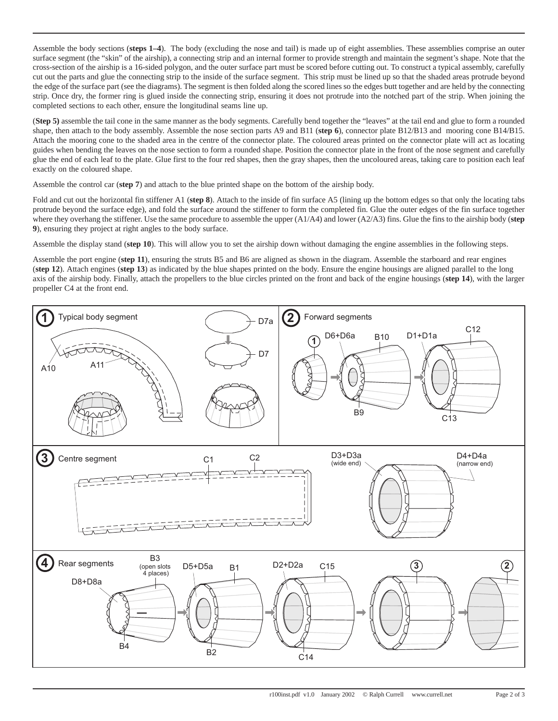Assemble the body sections (**steps 1–4**). The body (excluding the nose and tail) is made up of eight assemblies. These assemblies comprise an outer surface segment (the "skin" of the airship), a connecting strip and an internal former to provide strength and maintain the segment's shape. Note that the cross-section of the airship is a 16-sided polygon, and the outer surface part must be scored before cutting out. To construct a typical assembly, carefully cut out the parts and glue the connecting strip to the inside of the surface segment. This strip must be lined up so that the shaded areas protrude beyond the edge of the surface part (see the diagrams). The segment is then folded along the scored lines so the edges butt together and are held by the connecting strip. Once dry, the former ring is glued inside the connecting strip, ensuring it does not protrude into the notched part of the strip. When joining the completed sections to each other, ensure the longitudinal seams line up.

(**Step 5)** assemble the tail cone in the same manner as the body segments. Carefully bend together the "leaves" at the tail end and glue to form a rounded shape, then attach to the body assembly. Assemble the nose section parts A9 and B11 (**step 6**), connector plate B12/B13 and mooring cone B14/B15. Attach the mooring cone to the shaded area in the centre of the connector plate. The coloured areas printed on the connector plate will act as locating guides when bending the leaves on the nose section to form a rounded shape. Position the connector plate in the front of the nose segment and carefully glue the end of each leaf to the plate. Glue first to the four red shapes, then the gray shapes, then the uncoloured areas, taking care to position each leaf exactly on the coloured shape.

Assemble the control car (**step 7**) and attach to the blue printed shape on the bottom of the airship body.

Fold and cut out the horizontal fin stiffener A1 (**step 8**). Attach to the inside of fin surface A5 (lining up the bottom edges so that only the locating tabs protrude beyond the surface edge), and fold the surface around the stiffener to form the completed fin. Glue the outer edges of the fin surface together where they overhang the stiffener. Use the same procedure to assemble the upper (A1/A4) and lower (A2/A3) fins. Glue the fins to the airship body (**step 9**), ensuring they project at right angles to the body surface.

Assemble the display stand (**step 10**). This will allow you to set the airship down without damaging the engine assemblies in the following steps.

Assemble the port engine (**step 11**), ensuring the struts B5 and B6 are aligned as shown in the diagram. Assemble the starboard and rear engines (**step 12**). Attach engines (**step 13**) as indicated by the blue shapes printed on the body. Ensure the engine housings are aligned parallel to the long axis of the airship body. Finally, attach the propellers to the blue circles printed on the front and back of the engine housings (**step 14**), with the larger propeller C4 at the front end.